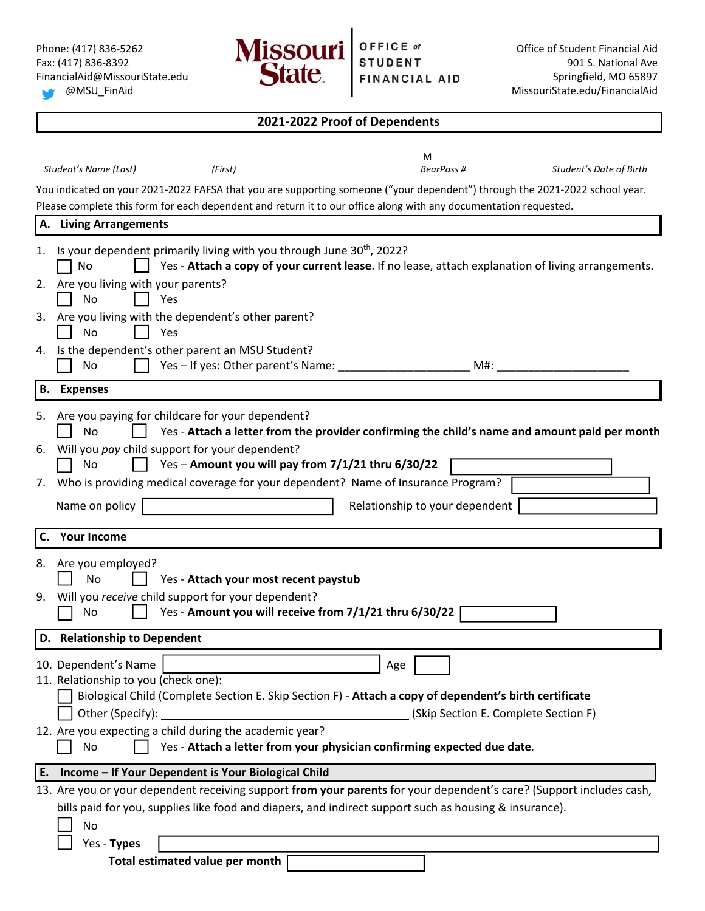Yes ‐ **Types** 

**Total estimated value per month** 



| Student's Date of Birth<br>(First)<br>BearPass #<br>Student's Name (Last)<br>You indicated on your 2021-2022 FAFSA that you are supporting someone ("your dependent") through the 2021-2022 school year.<br>Please complete this form for each dependent and return it to our office along with any documentation requested.<br>A. Living Arrangements<br>Is your dependent primarily living with you through June 30 <sup>th</sup> , 2022?<br>Yes - Attach a copy of your current lease. If no lease, attach explanation of living arrangements.<br>No<br>2. Are you living with your parents?<br>No<br>Yes<br>Are you living with the dependent's other parent?<br>No<br>Yes<br>Is the dependent's other parent an MSU Student?<br>Yes - If yes: Other parent's Name: _____<br>M#:<br>No<br><b>Expenses</b><br>Are you paying for childcare for your dependent?<br>5.<br>No<br>Yes - Attach a letter from the provider confirming the child's name and amount paid per month<br>6. Will you pay child support for your dependent?<br>Yes - Amount you will pay from 7/1/21 thru 6/30/22<br>No<br>Who is providing medical coverage for your dependent? Name of Insurance Program?<br>Name on policy<br>Relationship to your dependent<br><b>Your Income</b><br>Are you employed?<br>No<br>Yes - Attach your most recent paystub<br>Will you receive child support for your dependent?<br>Yes - Amount you will receive from 7/1/21 thru 6/30/22<br>No<br>Age<br>Biological Child (Complete Section E. Skip Section F) - Attach a copy of dependent's birth certificate<br>Other (Specify):<br>(Skip Section E. Complete Section F)<br>12. Are you expecting a child during the academic year?<br>Yes - Attach a letter from your physician confirming expected due date.<br>No<br>Income - If Your Dependent is Your Biological Child<br>13. Are you or your dependent receiving support from your parents for your dependent's care? (Support includes cash, |                                                              | м                                                                                                      |  |
|-----------------------------------------------------------------------------------------------------------------------------------------------------------------------------------------------------------------------------------------------------------------------------------------------------------------------------------------------------------------------------------------------------------------------------------------------------------------------------------------------------------------------------------------------------------------------------------------------------------------------------------------------------------------------------------------------------------------------------------------------------------------------------------------------------------------------------------------------------------------------------------------------------------------------------------------------------------------------------------------------------------------------------------------------------------------------------------------------------------------------------------------------------------------------------------------------------------------------------------------------------------------------------------------------------------------------------------------------------------------------------------------------------------------------------------------------------------------------------------------------------------------------------------------------------------------------------------------------------------------------------------------------------------------------------------------------------------------------------------------------------------------------------------------------------------------------------------------------------------------------------------------------------------------------------------------------------------------|--------------------------------------------------------------|--------------------------------------------------------------------------------------------------------|--|
|                                                                                                                                                                                                                                                                                                                                                                                                                                                                                                                                                                                                                                                                                                                                                                                                                                                                                                                                                                                                                                                                                                                                                                                                                                                                                                                                                                                                                                                                                                                                                                                                                                                                                                                                                                                                                                                                                                                                                                 |                                                              |                                                                                                        |  |
|                                                                                                                                                                                                                                                                                                                                                                                                                                                                                                                                                                                                                                                                                                                                                                                                                                                                                                                                                                                                                                                                                                                                                                                                                                                                                                                                                                                                                                                                                                                                                                                                                                                                                                                                                                                                                                                                                                                                                                 |                                                              |                                                                                                        |  |
|                                                                                                                                                                                                                                                                                                                                                                                                                                                                                                                                                                                                                                                                                                                                                                                                                                                                                                                                                                                                                                                                                                                                                                                                                                                                                                                                                                                                                                                                                                                                                                                                                                                                                                                                                                                                                                                                                                                                                                 |                                                              |                                                                                                        |  |
|                                                                                                                                                                                                                                                                                                                                                                                                                                                                                                                                                                                                                                                                                                                                                                                                                                                                                                                                                                                                                                                                                                                                                                                                                                                                                                                                                                                                                                                                                                                                                                                                                                                                                                                                                                                                                                                                                                                                                                 |                                                              |                                                                                                        |  |
|                                                                                                                                                                                                                                                                                                                                                                                                                                                                                                                                                                                                                                                                                                                                                                                                                                                                                                                                                                                                                                                                                                                                                                                                                                                                                                                                                                                                                                                                                                                                                                                                                                                                                                                                                                                                                                                                                                                                                                 |                                                              |                                                                                                        |  |
|                                                                                                                                                                                                                                                                                                                                                                                                                                                                                                                                                                                                                                                                                                                                                                                                                                                                                                                                                                                                                                                                                                                                                                                                                                                                                                                                                                                                                                                                                                                                                                                                                                                                                                                                                                                                                                                                                                                                                                 |                                                              |                                                                                                        |  |
|                                                                                                                                                                                                                                                                                                                                                                                                                                                                                                                                                                                                                                                                                                                                                                                                                                                                                                                                                                                                                                                                                                                                                                                                                                                                                                                                                                                                                                                                                                                                                                                                                                                                                                                                                                                                                                                                                                                                                                 | 3.                                                           |                                                                                                        |  |
|                                                                                                                                                                                                                                                                                                                                                                                                                                                                                                                                                                                                                                                                                                                                                                                                                                                                                                                                                                                                                                                                                                                                                                                                                                                                                                                                                                                                                                                                                                                                                                                                                                                                                                                                                                                                                                                                                                                                                                 | 4.                                                           |                                                                                                        |  |
|                                                                                                                                                                                                                                                                                                                                                                                                                                                                                                                                                                                                                                                                                                                                                                                                                                                                                                                                                                                                                                                                                                                                                                                                                                                                                                                                                                                                                                                                                                                                                                                                                                                                                                                                                                                                                                                                                                                                                                 |                                                              |                                                                                                        |  |
|                                                                                                                                                                                                                                                                                                                                                                                                                                                                                                                                                                                                                                                                                                                                                                                                                                                                                                                                                                                                                                                                                                                                                                                                                                                                                                                                                                                                                                                                                                                                                                                                                                                                                                                                                                                                                                                                                                                                                                 | В.                                                           |                                                                                                        |  |
|                                                                                                                                                                                                                                                                                                                                                                                                                                                                                                                                                                                                                                                                                                                                                                                                                                                                                                                                                                                                                                                                                                                                                                                                                                                                                                                                                                                                                                                                                                                                                                                                                                                                                                                                                                                                                                                                                                                                                                 | 7.                                                           |                                                                                                        |  |
|                                                                                                                                                                                                                                                                                                                                                                                                                                                                                                                                                                                                                                                                                                                                                                                                                                                                                                                                                                                                                                                                                                                                                                                                                                                                                                                                                                                                                                                                                                                                                                                                                                                                                                                                                                                                                                                                                                                                                                 | C.                                                           |                                                                                                        |  |
|                                                                                                                                                                                                                                                                                                                                                                                                                                                                                                                                                                                                                                                                                                                                                                                                                                                                                                                                                                                                                                                                                                                                                                                                                                                                                                                                                                                                                                                                                                                                                                                                                                                                                                                                                                                                                                                                                                                                                                 | 8.<br>9.                                                     |                                                                                                        |  |
|                                                                                                                                                                                                                                                                                                                                                                                                                                                                                                                                                                                                                                                                                                                                                                                                                                                                                                                                                                                                                                                                                                                                                                                                                                                                                                                                                                                                                                                                                                                                                                                                                                                                                                                                                                                                                                                                                                                                                                 | D. Relationship to Dependent                                 |                                                                                                        |  |
|                                                                                                                                                                                                                                                                                                                                                                                                                                                                                                                                                                                                                                                                                                                                                                                                                                                                                                                                                                                                                                                                                                                                                                                                                                                                                                                                                                                                                                                                                                                                                                                                                                                                                                                                                                                                                                                                                                                                                                 | 10. Dependent's Name<br>11. Relationship to you (check one): |                                                                                                        |  |
|                                                                                                                                                                                                                                                                                                                                                                                                                                                                                                                                                                                                                                                                                                                                                                                                                                                                                                                                                                                                                                                                                                                                                                                                                                                                                                                                                                                                                                                                                                                                                                                                                                                                                                                                                                                                                                                                                                                                                                 |                                                              |                                                                                                        |  |
|                                                                                                                                                                                                                                                                                                                                                                                                                                                                                                                                                                                                                                                                                                                                                                                                                                                                                                                                                                                                                                                                                                                                                                                                                                                                                                                                                                                                                                                                                                                                                                                                                                                                                                                                                                                                                                                                                                                                                                 |                                                              |                                                                                                        |  |
|                                                                                                                                                                                                                                                                                                                                                                                                                                                                                                                                                                                                                                                                                                                                                                                                                                                                                                                                                                                                                                                                                                                                                                                                                                                                                                                                                                                                                                                                                                                                                                                                                                                                                                                                                                                                                                                                                                                                                                 | E.                                                           |                                                                                                        |  |
| No                                                                                                                                                                                                                                                                                                                                                                                                                                                                                                                                                                                                                                                                                                                                                                                                                                                                                                                                                                                                                                                                                                                                                                                                                                                                                                                                                                                                                                                                                                                                                                                                                                                                                                                                                                                                                                                                                                                                                              |                                                              | bills paid for you, supplies like food and diapers, and indirect support such as housing & insurance). |  |